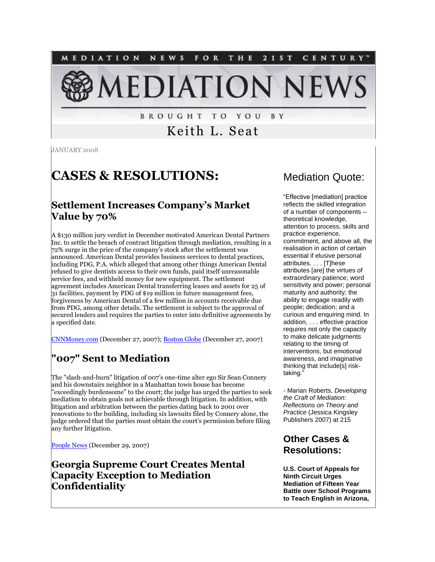

**BROUGHT TO YOU** B Y

Keith L. Seat

JANUARY 2008

## **CASES & RESOLUTIONS:**

#### **Settlement Increases Company's Market Value by 70%**

A \$130 million jury verdict in December motivated American Dental Partners Inc. to settle the breach of contract litigation through mediation, resulting in a 72% surge in the price of the company's stock after the settlement was announced. American Dental provides business services to dental practices, including PDG, P.A. which alleged that among other things American Dental refused to give dentists access to their own funds, paid itself unreasonable service fees, and withheld money for new equipment. The settlement agreement includes American Dental transferring leases and assets for 25 of 31 facilities, payment by PDG of \$19 million in future management fees, forgiveness by American Dental of a few million in accounts receivable due from PDG, among other details. The settlement is subject to the approval of secured lenders and requires the parties to enter into definitive agreements by a specified date.

[CNNMoney.com](http://money.cnn.com/news/newsfeeds/articles/marketwire/0343519.htm) (December 27, 2007); [Boston Globe](http://boston.stockgroup.com/sn_newsreleases.asp?symbol=ADPI&newsid=9885120) (December 27, 2007)

## **"007" Sent to Mediation**

The "slash-and-burn" litigation of 007's one-time alter ego Sir Sean Connery and his downstairs neighbor in a Manhattan town house has become "exceedingly burdensome" to the court; the judge has urged the parties to seek mediation to obtain goals not achievable through litigation. In addition, with litigation and arbitration between the parties dating back to 2001 over renovations to the building, including six lawsuits filed by Connery alone, the judge ordered that the parties must obtain the court's permission before filing any further litigation.

[People News](http://tinyurl.com/37627a) (December 29, 2007)

**Georgia Supreme Court Creates Mental Capacity Exception to Mediation Confidentiality** 

### Mediation Quote:

"Effective [mediation] practice reflects the skilled integration of a number of components – theoretical knowledge, attention to process, skills and practice experience, commitment, and above all, the realisation in action of certain essential if elusive personal attributes. . . . [T]hese attributes [are] the virtues of extraordinary patience; word sensitivity and power; personal maturity and authority; the ability to engage readily with people; dedication; and a curious and enquiring mind. In addition, . . . effective practice requires not only the capacity to make delicate judgments relating to the timing of interventions, but emotional awareness, and imaginative thinking that include[s] risktaking."

- Marian Roberts, *Developing the Craft of Mediation: Reflections on Theory and Practice* (Jessica Kingsley Publishers 2007) at 215

#### **Other Cases & Resolutions:**

**U.S. Court of Appeals for Ninth Circuit Urges Mediation of Fifteen Year Battle over School Programs to Teach English in Arizona,**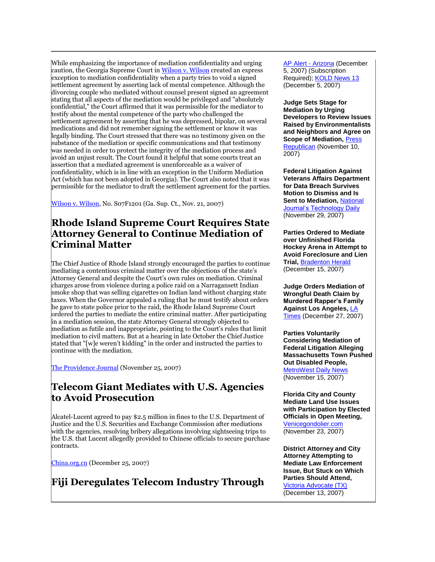While emphasizing the importance of mediation confidentiality and urging caution, the Georgia Supreme Court i[n Wilson v. Wilson](http://www.gasupreme.us/pdf/s07f1201.pdf) created an express exception to mediation confidentiality when a party tries to void a signed settlement agreement by asserting lack of mental competence. Although the divorcing couple who mediated without counsel present signed an agreement stating that all aspects of the mediation would be privileged and "absolutely confidential," the Court affirmed that it was permissible for the mediator to testify about the mental competence of the party who challenged the settlement agreement by asserting that he was depressed, bipolar, on several medications and did not remember signing the settlement or know it was legally binding. The Court stressed that there was no testimony given on the substance of the mediation or specific communications and that testimony was needed in order to protect the integrity of the mediation process and avoid an unjust result. The Court found it helpful that some courts treat an assertion that a mediated agreement is unenforceable as a waiver of confidentiality, which is in line with an exception in the Uniform Mediation Act (which has not been adopted in Georgia). The Court also noted that it was permissible for the mediator to draft the settlement agreement for the parties.

[Wilson v. Wilson,](http://www.gasupreme.us/pdf/s07f1201.pdf) No. S07F1201 (Ga. Sup. Ct., Nov. 21, 2007)

#### **Rhode Island Supreme Court Requires State Attorney General to Continue Mediation of Criminal Matter**

The Chief Justice of Rhode Island strongly encouraged the parties to continue mediating a contentious criminal matter over the objections of the state's Attorney General and despite the Court's own rules on mediation. Criminal charges arose from violence during a police raid on a Narragansett Indian smoke shop that was selling cigarettes on Indian land without charging state taxes. When the Governor appealed a ruling that he must testify about orders he gave to state police prior to the raid, the Rhode Island Supreme Court ordered the parties to mediate the entire criminal matter. After participating in a mediation session, the state Attorney General strongly objected to mediation as futile and inappropriate, pointing to the Court's rules that limit mediation to civil matters. But at a hearing in late October the Chief Justice stated that "[w]e weren't kidding" in the order and instructed the parties to continue with the mediation.

[The Providence Journal](http://tinyurl.com/275we7) (November 25, 2007)

## **Telecom Giant Mediates with U.S. Agencies to Avoid Prosecution**

Alcatel-Lucent agreed to pay \$2.5 million in fines to the U.S. Department of Justice and the U.S. Securities and Exchange Commission after mediations with the agencies, resolving bribery allegations involving sightseeing trips to the U.S. that Lucent allegedly provided to Chinese officials to secure purchase contracts.

[China.org.cn](http://www.china.org.cn/english/business/236986.htm) (December 25, 2007)

## **Fiji Deregulates Telecom Industry Through**

[AP Alert -](http://tinyurl.com/384wc8) Arizona (December 5, 2007) (Subscription Required)[; KOLD News 13](http://www.kold.com/global/story.asp?s=7455366&ClientType=Printable) (December 5, 2007)

**Judge Sets Stage for Mediation by Urging Developers to Review Issues Raised by Environmentalists and Neighbors and Agree on Scope of Mediation,** [Press](http://www.pressrepublican.com/breakingnews/local_story_314150516.html)  [Republican](http://www.pressrepublican.com/breakingnews/local_story_314150516.html) (November 10, 2007)

**Federal Litigation Against Veterans Affairs Department for Data Breach Survives Motion to Dismiss and Is Sent to Mediation,** [National](http://www.govexec.com/dailyfed/1107/112907tdpm2.htm)  [Journal's Technology Daily](http://www.govexec.com/dailyfed/1107/112907tdpm2.htm) (November 29, 2007)

**Parties Ordered to Mediate over Unfinished Florida Hockey Arena in Attempt to Avoid Foreclosure and Lien Trial,** [Bradenton Herald](http://www.bradenton.com/local/story/275174.html) (December 15, 2007)

**Judge Orders Mediation of Wrongful Death Claim by Murdered Rapper's Family Against Los Angeles,** [LA](http://tinyurl.com/ysnj2q)  [Times](http://tinyurl.com/ysnj2q) (December 27, 2007)

**Parties Voluntarily Considering Mediation of Federal Litigation Alleging Massachusetts Town Pushed Out Disabled People, [MetroWest Daily News](http://www.metrowestdailynews.com/homepage/x676140407)** (November 15, 2007)

**Florida City and County Mediate Land Use Issues with Participation by Elected Officials in Open Meeting,**  [Venicegondolier.com](http://tinyurl.com/2z8kh2) (November 23, 2007)

**District Attorney and City Attorney Attempting to Mediate Law Enforcement Issue, But Stuck on Which Parties Should Attend,**  [Victoria Advocate \(TX\)](http://tinyurl.com/2skzcj) (December 13, 2007)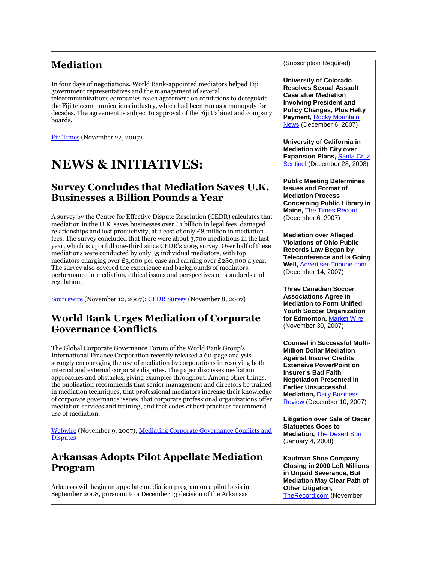## **Mediation**

In four days of negotiations, World Bank-appointed mediators helped Fiji government representatives and the management of several telecommunications companies reach agreement on conditions to deregulate the Fiji telecommunications industry, which had been run as a monopoly for decades. The agreement is subject to approval of the Fiji Cabinet and company boards.

[Fiji Times](http://www.fijitimes.com/story.aspx?id=74827) (November 22, 2007)

# **NEWS & INITIATIVES:**

#### **Survey Concludes that Mediation Saves U.K. Businesses a Billion Pounds a Year**

A survey by the Centre for Effective Dispute Resolution (CEDR) calculates that mediation in the U.K. saves businesses over  $\epsilon_1$  billion in legal fees, damaged relationships and lost productivity, at a cost of only £8 million in mediation fees. The survey concluded that there were about 3,700 mediations in the last year, which is up a full one-third since CEDR's 2005 survey. Over half of these mediations were conducted by only 35 individual mediators, with top mediators charging over £3,000 per case and earning over £280,000 a year. The survey also covered the experience and backgrounds of mediators, performance in mediation, ethical issues and perspectives on standards and regulation.

[Sourcewire](http://www.sourcewire.com/releases/rel_display.php?relid=35124) (November 12, 2007)[; CEDR Survey](http://www.cedr.com/gfx/TheMediationAudit2007.pdf) (November 8, 2007)

## **World Bank Urges Mediation of Corporate Governance Conflicts**

The Global Corporate Governance Forum of the World Bank Group's International Finance Corporation recently released a 60-page analysis strongly encouraging the use of mediation by corporations in resolving both internal and external corporate disputes. The paper discusses mediation approaches and obstacles, giving examples throughout. Among other things, the publication recommends that senior management and directors be trained in mediation techniques, that professional mediators increase their knowledge of corporate governance issues, that corporate professional organizations offer mediation services and training, and that codes of best practices recommend use of mediation.

[Webwire](http://www.webwire.com/ViewPressRel.asp?aId=52355) (November 9, 2007); Mediating Corporate Governance Conflicts and **[Disputes](http://tinyurl.com/2hbhz2)** 

## **Arkansas Adopts Pilot Appellate Mediation Program**

Arkansas will begin an appellate mediation program on a pilot basis in September 2008, pursuant to a December 13 decision of the Arkansas

(Subscription Required)

**University of Colorado Resolves Sexual Assault Case after Mediation Involving President and Policy Changes, Plus Hefty Payment, Rocky Mountain** [News](http://tinyurl.com/26llnq) (December 6, 2007)

**University of California in Mediation with City over Expansion Plans, Santa Cruz** [Sentinel](http://tinyurl.com/2xxr42) (December 28, 2008)

**Public Meeting Determines Issues and Format of Mediation Process Concerning Public Library in Maine,** [The Times Record](http://tinyurl.com/2bdg6jt) (December 6, 2007)

**Mediation over Alleged Violations of Ohio Public Records Law Began by Teleconference and Is Going Well,** [Advertiser-Tribune.com](http://tinyurl.com/2yzt5c) (December 14, 2007)

**Three Canadian Soccer Associations Agree in Mediation to Form Unified Youth Soccer Organization for Edmonton,** [Market Wire](http://www.marketwire.com/mw/release.do?id=798462) (November 30, 2007)

**Counsel in Successful Multi-Million Dollar Mediation Against Insurer Credits Extensive PowerPoint on Insurer's Bad Faith Negotiation Presented in Earlier Unsuccessful Mediation,** [Daily Business](http://www.dailybusinessreview.com/news.html?news_id=46067)  [Review](http://www.dailybusinessreview.com/news.html?news_id=46067) (December 10, 2007)

**Litigation over Sale of Oscar Statuettes Goes to Mediation,** [The Desert Sun](http://tinyurl.com/ysymuh) (January 4, 2008)

**Kaufman Shoe Company Closing in 2000 Left Millions in Unpaid Severance, But Mediation May Clear Path of Other Litigation,**  [TheRecord.com](http://news.therecord.com/printArticle/272887) (November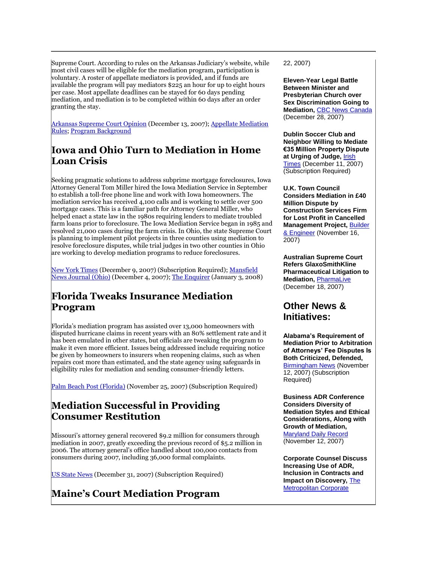Supreme Court. According to rules on the Arkansas Judiciary's website, while most civil cases will be eligible for the mediation program, participation is voluntary. A roster of appellate mediators is provided, and if funds are available the program will pay mediators \$225 an hour for up to eight hours per case. Most appellate deadlines can be stayed for 60 days pending mediation, and mediation is to be completed within 60 days after an order granting the stay.

[Arkansas Supreme Court Opinion](http://courts.state.ar.us/adr/ApellateMediation/inreAppMed.pdf?num=46) (December 13, 2007); [Appellate Mediation](http://tinyurl.com/yrlfkf)  [Rules;](http://tinyurl.com/yrlfkf) [Program Background](http://tinyurl.com/2dlqhk)

## **Iowa and Ohio Turn to Mediation in Home Loan Crisis**

Seeking pragmatic solutions to address subprime mortgage foreclosures, Iowa Attorney General Tom Miller hired the Iowa Mediation Service in September to establish a toll-free phone line and work with Iowa homeowners. The mediation service has received 4,100 calls and is working to settle over 500 mortgage cases. This is a familiar path for Attorney General Miller, who helped enact a state law in the 1980s requiring lenders to mediate troubled farm loans prior to foreclosure. The Iowa Mediation Service began in 1985 and resolved 21,000 cases during the farm crisis. In Ohio, the state Supreme Court is planning to implement pilot projects in three counties using mediation to resolve foreclosure disputes, while trial judges in two other counties in Ohio are working to develop mediation programs to reduce foreclosures.

[New York Times](http://tinyurl.com/39e2a7) (December 9, 2007) (Subscription Required)[; Mansfield](http://tinyurl.com/ytmv97)  [News Journal \(Ohio\)](http://tinyurl.com/ytmv97) (December 4, 2007)[; The Enquirer](http://tinyurl.com/2zqd8w) (January 3, 2008)

## **Florida Tweaks Insurance Mediation Program**

Florida's mediation program has assisted over 13,000 homeowners with disputed hurricane claims in recent years with an 80% settlement rate and it has been emulated in other states, but officials are tweaking the program to make it even more efficient. Issues being addressed include requiring notice be given by homeowners to insurers when reopening claims, such as when repairs cost more than estimated, and the state agency using safeguards in eligibility rules for mediation and sending consumer-friendly letters.

[Palm Beach Post \(Florida\)](http://tinyurl.com/2osfak) (November 25, 2007) (Subscription Required)

## **Mediation Successful in Providing Consumer Restitution**

Missouri's attorney general recovered \$9.2 million for consumers through mediation in 2007, greatly exceeding the previous record of \$5.2 million in 2006. The attorney general's office handled about 100,000 contacts from consumers during 2007, including 36,000 formal complaints.

[US State News](http://tinyurl.com/2s27p3) (December 31, 2007) (Subscription Required)

**Maine's Court Mediation Program** 

22, 2007)

**Eleven-Year Legal Battle Between Minister and Presbyterian Church over Sex Discrimination Going to Mediation,** [CBC News Canada](http://tinyurl.com/2d26jp) (December 28, 2007)

**Dublin Soccer Club and Neighbor Willing to Mediate €35 Million Property Dispute at Urging of Judge,** [Irish](http://tinyurl.com/34pocv)  [Times](http://tinyurl.com/34pocv) (December 11, 2007) (Subscription Required)

**U.K. Town Council Considers Mediation in £40 Million Dispute by Construction Services Firm for Lost Profit in Cancelled Management Project,** [Builder](http://tinyurl.com/2bpbc6)  [& Engineer](http://tinyurl.com/2bpbc6) (November 16, 2007)

**Australian Supreme Court Refers GlaxoSmithKline Pharmaceutical Litigation to Mediation,** [PharmaLive](http://www.pharmalive.com/News/index.cfm?articleid=500654&categoryid=27) (December 18, 2007)

#### **Other News & Initiatives:**

**Alabama's Requirement of Mediation Prior to Arbitration of Attorneys' Fee Disputes Is Both Criticized, Defended,**  [Birmingham News](http://tinyurl.com/3ywlax) (November 12, 2007) (Subscription Required)

**Business ADR Conference Considers Diversity of Mediation Styles and Ethical Considerations, Along with Growth of Mediation,**  [Maryland Daily Record](http://www.mddailyrecord.com/article.cfm?id=3370&type=UTTM) (November 12, 2007)

**Corporate Counsel Discuss Increasing Use of ADR, Inclusion in Contracts and Impact on Discovery, The** [Metropolitan Corporate](http://tinyurl.com/ypaexh)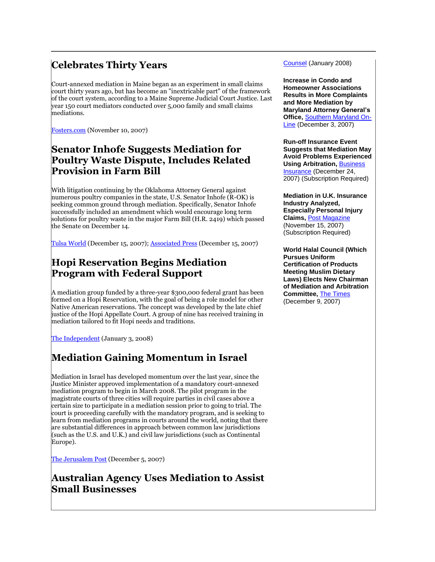## **Celebrates Thirty Years**

Court-annexed mediation in Maine began as an experiment in small claims court thirty years ago, but has become an "inextricable part" of the framework of the court system, according to a Maine Supreme Judicial Court Justice. Last year 150 court mediators conducted over 5,000 family and small claims mediations.

[Fosters.com](http://tinyurl.com/2xm87s) (November 10, 2007)

## **Senator Inhofe Suggests Mediation for Poultry Waste Dispute, Includes Related Provision in Farm Bill**

With litigation continuing by the Oklahoma Attorney General against numerous poultry companies in the state, U.S. Senator Inhofe (R-OK) is seeking common ground through mediation. Specifically, Senator Inhofe successfully included an amendment which would encourage long term solutions for poultry waste in the major Farm Bill (H.R. 2419) which passed the Senate on December 14.

[Tulsa World](http://tinyurl.com/26j2gw) (December 15, 2007); [Associated Press](http://www.kswo.com/Global/story.asp?S=7501284) (December 15, 2007)

## **Hopi Reservation Begins Mediation Program with Federal Support**

A mediation group funded by a three-year \$300,000 federal grant has been formed on a Hopi Reservation, with the goal of being a role model for other Native American reservations. The concept was developed by the late chief justice of the Hopi Appellate Court. A group of nine has received training in mediation tailored to fit Hopi needs and traditions.

[The Independent](http://www.gallupindependent.com/2008/January/010308st_hpimdtngrp.html) (January 3, 2008)

## **Mediation Gaining Momentum in Israel**

Mediation in Israel has developed momentum over the last year, since the Justice Minister approved implementation of a mandatory court-annexed mediation program to begin in March 2008. The pilot program in the magistrate courts of three cities will require parties in civil cases above a certain size to participate in a mediation session prior to going to trial. The court is proceeding carefully with the mandatory program, and is seeking to learn from mediation programs in courts around the world, noting that there are substantial differences in approach between common law jurisdictions (such as the U.S. and U.K.) and civil law jurisdictions (such as Continental Europe).

[The Jerusalem Post](http://tinyurl.com/2zm9sk) (December 5, 2007)

#### **Australian Agency Uses Mediation to Assist Small Businesses**

Counsel (January 2008)

**Increase in Condo and Homeowner Associations Results in More Complaints and More Mediation by Maryland Attorney General's Office,** [Southern Maryland On-](http://somd.com/news/headlines/2007/6831.shtml)[Line](http://somd.com/news/headlines/2007/6831.shtml) (December 3, 2007)

**Run-off Insurance Event Suggests that Mediation May Avoid Problems Experienced Using Arbitration, Business** [Insurance](http://tinyurl.com/3d8mxl) (December 24, 2007) (Subscription Required)

**Mediation in U.K. Insurance Industry Analyzed, Especially Personal Injury Claims,** [Post Magazine](http://tinyurl.com/2myx37) (November 15, 2007) (Subscription Required)

**World Halal Council (Which Pursues Uniform Certification of Products Meeting Muslim Dietary Laws) Elects New Chairman of Mediation and Arbitration Committee,** [The Times](http://www.thetimes.co.za/PrintEdition/News/Article.aspx?id=645860) (December 9, 2007)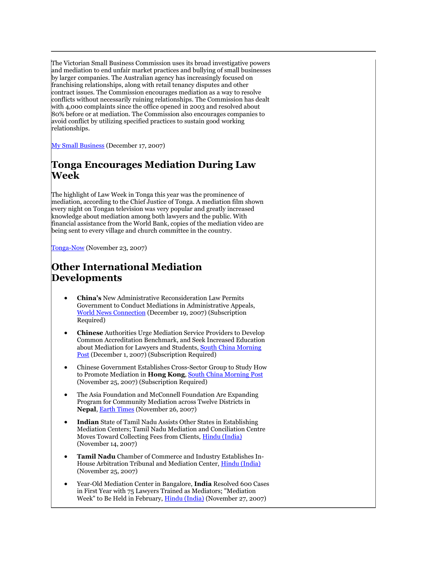The Victorian Small Business Commission uses its broad investigative powers and mediation to end unfair market practices and bullying of small businesses by larger companies. The Australian agency has increasingly focused on franchising relationships, along with retail tenancy disputes and other contract issues. The Commission encourages mediation as a way to resolve conflicts without necessarily ruining relationships. The Commission has dealt with 4,000 complaints since the office opened in 2003 and resolved about 80% before or at mediation. The Commission also encourages companies to avoid conflict by utilizing specified practices to sustain good working relationships.

[My Small Business](http://tinyurl.com/38uvut) (December 17, 2007)

### **Tonga Encourages Mediation During Law Week**

The highlight of Law Week in Tonga this year was the prominence of mediation, according to the Chief Justice of Tonga. A mediation film shown every night on Tongan television was very popular and greatly increased knowledge about mediation among both lawyers and the public. With financial assistance from the World Bank, copies of the mediation video are being sent to every village and church committee in the country.

[Tonga-Now](http://www.tonga-now.to/Article.aspx?ID=4683&Mode=1) (November 23, 2007)

## **Other International Mediation Developments**

- **China's** New Administrative Reconsideration Law Permits Government to Conduct Mediations in Administrative Appeals, [World News Connection](http://tinyurl.com/3423sr) (December 19, 2007) (Subscription Required)
- **Chinese** Authorities Urge Mediation Service Providers to Develop Common Accreditation Benchmark, and Seek Increased Education about Mediation for Lawyers and Students, [South China Morning](http://tinyurl.com/2pbsv2)  [Post](http://tinyurl.com/2pbsv2) (December 1, 2007) (Subscription Required)
- Chinese Government Establishes Cross-Sector Group to Study How to Promote Mediation in **Hong Kong**, [South China Morning Post](http://tinyurl.com/3ycm4p) (November 25, 2007) (Subscription Required)
- The Asia Foundation and McConnell Foundation Are Expanding Program for Community Mediation across Twelve Districts in **Nepal**, [Earth Times](http://www.earthtimes.org/articles/show/news_press_release,230098.shtml) (November 26, 2007)
- **Indian** State of Tamil Nadu Assists Other States in Establishing Mediation Centers; Tamil Nadu Mediation and Conciliation Centre Moves Toward Collecting Fees from Clients, [Hindu \(India\)](http://tinyurl.com/29998u) (November 14, 2007)
- **Tamil Nadu** Chamber of Commerce and Industry Establishes In-House Arbitration Tribunal and Mediation Center, [Hindu \(India\)](http://www.hindu.com/2007/11/25/stories/2007112560070500.htm) (November 25, 2007)
- Year-Old Mediation Center in Bangalore, **India** Resolved 600 Cases in First Year with 75 Lawyers Trained as Mediators; "Mediation Week" to Be Held in February[, Hindu \(India\)](http://tinyurl.com/yo547q) (November 27, 2007)